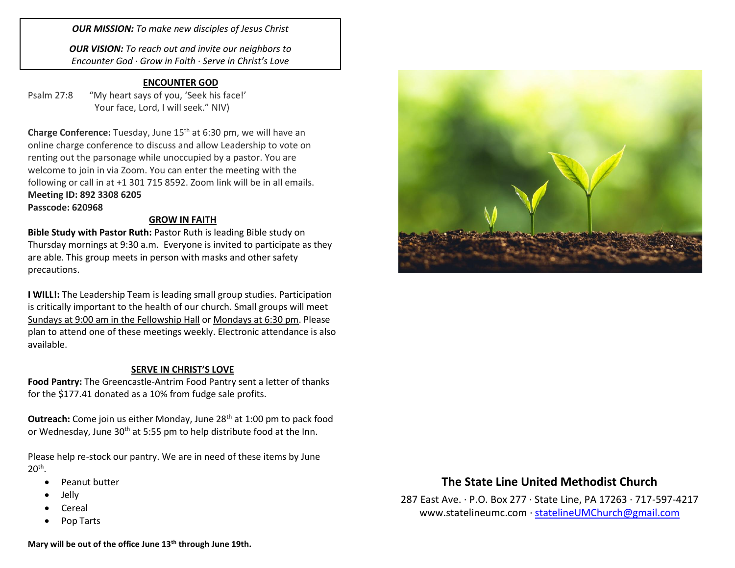*OUR MISSION: To make new disciples of Jesus Christ*

*OUR VISION: To reach out and invite our neighbors to Encounter God · Grow in Faith · Serve in Christ's Love*

## **ENCOUNTER GOD**

Psalm 27:8 "My heart says of you, 'Seek his face!'

Your face, Lord, I will seek." NIV) **Charge Conference:** Tuesday, June 15th at 6:30 pm, we will have an online charge conference to discuss and allow Leadership to vote on

renting out the parsonage while unoccupied by a pastor. You are welcome to join in via Zoom. You can enter the meeting with the following or call in at +1 301 715 8592. Zoom link will be in all emails. **Meeting ID: 892 3308 6205**

**Passcode: 620968**

#### **GROW IN FAITH**

**Bible Study with Pastor Ruth:** Pastor Ruth is leading Bible study on Thursday mornings at 9:30 a.m. Everyone is invited to participate as they are able. This group meets in person with masks and other safety precautions.

**I WILL!:** The Leadership Team is leading small group studies. Participation is critically important to the health of our church. Small groups will meet Sundays at 9:00 am in the Fellowship Hall or Mondays at 6:30 pm. Please plan to attend one of these meetings weekly. Electronic attendance is also available.

### **SERVE IN CHRIST'S LOVE**

**Food Pantry:** The Greencastle-Antrim Food Pantry sent a letter of thanks for the \$177.41 donated as a 10% from fudge sale profits.

**Outreach:** Come join us either Monday, June 28<sup>th</sup> at 1:00 pm to pack food or Wednesday, June 30<sup>th</sup> at 5:55 pm to help distribute food at the Inn.

Please help re-stock our pantry. We are in need of these items by June  $20<sup>th</sup>$ .

- Peanut butter
- Jelly
- Cereal
- Pop Tarts



# **The State Line United Methodist Church**

287 East Ave. · P.O. Box 277 · State Line, PA 17263 · 717-597-4217 [www.statelineumc.com](http://www.statelineumc.com/) · [statelineUMChurch@gmail.com](mailto:statelineUMChurch@gmail.com)